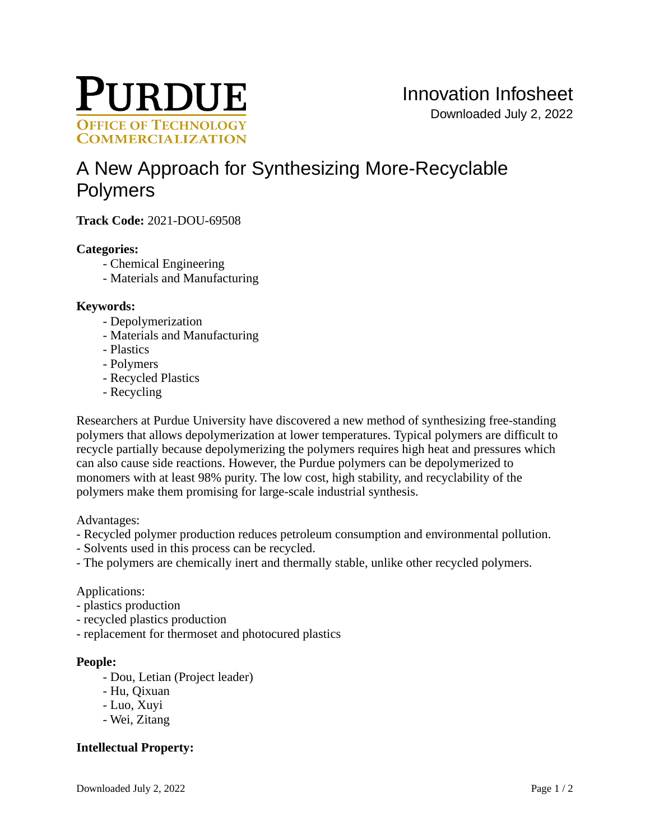

# [A New Approach for Synthesizing More-Recyclable](https://inventions.prf.org/innovation/8119)  [Polymers](https://inventions.prf.org/innovation/8119)

**Track Code:** 2021-DOU-69508

### **Categories:**

- Chemical Engineering
- Materials and Manufacturing

#### **Keywords:**

- Depolymerization
- Materials and Manufacturing
- Plastics
- Polymers
- Recycled Plastics
- Recycling

Researchers at Purdue University have discovered a new method of synthesizing free-standing polymers that allows depolymerization at lower temperatures. Typical polymers are difficult to recycle partially because depolymerizing the polymers requires high heat and pressures which can also cause side reactions. However, the Purdue polymers can be depolymerized to monomers with at least 98% purity. The low cost, high stability, and recyclability of the polymers make them promising for large-scale industrial synthesis.

Advantages:

- Recycled polymer production reduces petroleum consumption and environmental pollution.
- Solvents used in this process can be recycled.
- The polymers are chemically inert and thermally stable, unlike other recycled polymers.

#### Applications:

- plastics production
- recycled plastics production
- replacement for thermoset and photocured plastics

#### **People:**

- Dou, Letian (Project leader)
- Hu, Qixuan
- Luo, Xuyi
- Wei, Zitang

## **Intellectual Property:**